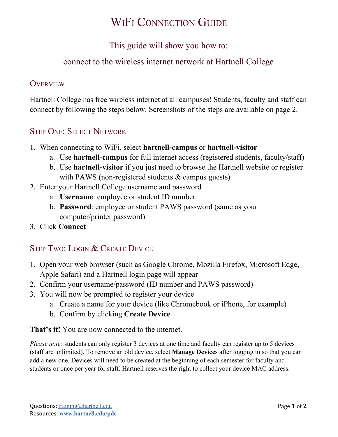# WIF<sup>I</sup> CONNECTION GUIDE

## This guide will show you how to:

## connect to the wireless internet network at Hartnell College

## **OVERVIEW**

Hartnell College has free wireless internet at all campuses! Students, faculty and staff can connect by following the steps below. Screenshots of the steps are available on page 2.

## STEP ONE: SELECT NETWORK

- 1. When connecting to WiFi, select **hartnell-campus** or **hartnell-visitor**
	- a. Use **hartnell-campus** for full internet access (registered students, faculty/staff)
	- b. Use **hartnell-visitor** if you just need to browse the Hartnell website or register with PAWS (non-registered students & campus guests)
- 2. Enter your Hartnell College username and password
	- a. **Username**: employee or student ID number
	- b. **Password**: employee or student PAWS password (same as your computer/printer password)
- 3. Click **Connect**

## STEP TWO: LOGIN & CREATE DEVICE

- 1. Open your web browser (such as Google Chrome, Mozilla Firefox, Microsoft Edge, Apple Safari) and a Hartnell login page will appear
- 2. Confirm your username/password (ID number and PAWS password)
- 3. You will now be prompted to register your device
	- a. Create a name for your device (like Chromebook or iPhone, for example)
	- b. Confirm by clicking **Create Device**

**That's it!** You are now connected to the internet.

*Please note:* students can only register 3 devices at one time and faculty can register up to 5 devices (staff are unlimited). To remove an old device, select **Manage Devices** after logging in so that you can add a new one. Devices will need to be created at the beginning of each semester for faculty and students or once per year for staff. Hartnell reserves the right to collect your device MAC address.